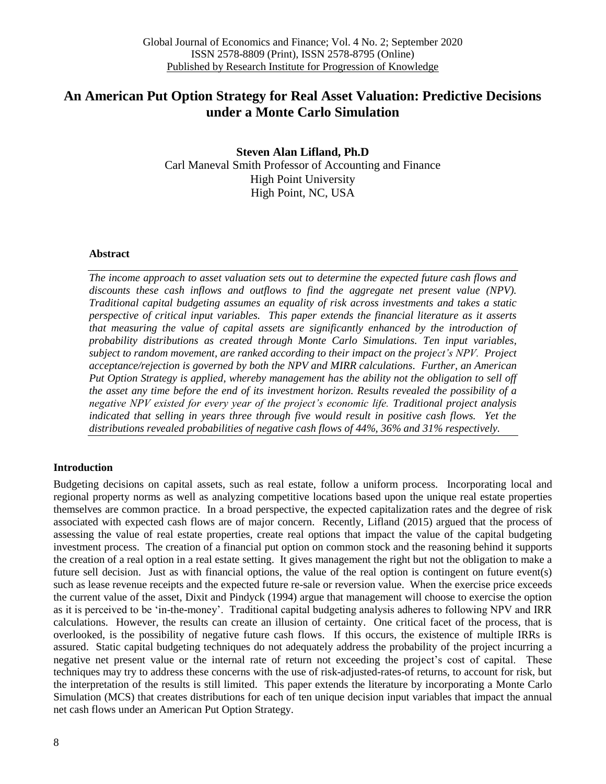# **An American Put Option Strategy for Real Asset Valuation: Predictive Decisions under a Monte Carlo Simulation**

**Steven Alan Lifland, Ph.D** Carl Maneval Smith Professor of Accounting and Finance High Point University High Point, NC, USA

## **Abstract**

*The income approach to asset valuation sets out to determine the expected future cash flows and discounts these cash inflows and outflows to find the aggregate net present value (NPV). Traditional capital budgeting assumes an equality of risk across investments and takes a static perspective of critical input variables. This paper extends the financial literature as it asserts that measuring the value of capital assets are significantly enhanced by the introduction of probability distributions as created through Monte Carlo Simulations. Ten input variables, subject to random movement, are ranked according to their impact on the project's NPV. Project acceptance/rejection is governed by both the NPV and MIRR calculations. Further, an American Put Option Strategy is applied, whereby management has the ability not the obligation to sell off the asset any time before the end of its investment horizon. Results revealed the possibility of a negative NPV existed for every year of the project's economic life. Traditional project analysis indicated that selling in years three through five would result in positive cash flows. Yet the distributions revealed probabilities of negative cash flows of 44%, 36% and 31% respectively.*

## **Introduction**

Budgeting decisions on capital assets, such as real estate, follow a uniform process. Incorporating local and regional property norms as well as analyzing competitive locations based upon the unique real estate properties themselves are common practice. In a broad perspective, the expected capitalization rates and the degree of risk associated with expected cash flows are of major concern. Recently, Lifland (2015) argued that the process of assessing the value of real estate properties, create real options that impact the value of the capital budgeting investment process. The creation of a financial put option on common stock and the reasoning behind it supports the creation of a real option in a real estate setting. It gives management the right but not the obligation to make a future sell decision. Just as with financial options, the value of the real option is contingent on future event(s) such as lease revenue receipts and the expected future re-sale or reversion value. When the exercise price exceeds the current value of the asset, Dixit and Pindyck (1994) argue that management will choose to exercise the option as it is perceived to be 'in-the-money'. Traditional capital budgeting analysis adheres to following NPV and IRR calculations. However, the results can create an illusion of certainty. One critical facet of the process, that is overlooked, is the possibility of negative future cash flows. If this occurs, the existence of multiple IRRs is assured. Static capital budgeting techniques do not adequately address the probability of the project incurring a negative net present value or the internal rate of return not exceeding the project's cost of capital. These techniques may try to address these concerns with the use of risk-adjusted-rates-of returns, to account for risk, but the interpretation of the results is still limited. This paper extends the literature by incorporating a Monte Carlo Simulation (MCS) that creates distributions for each of ten unique decision input variables that impact the annual net cash flows under an American Put Option Strategy.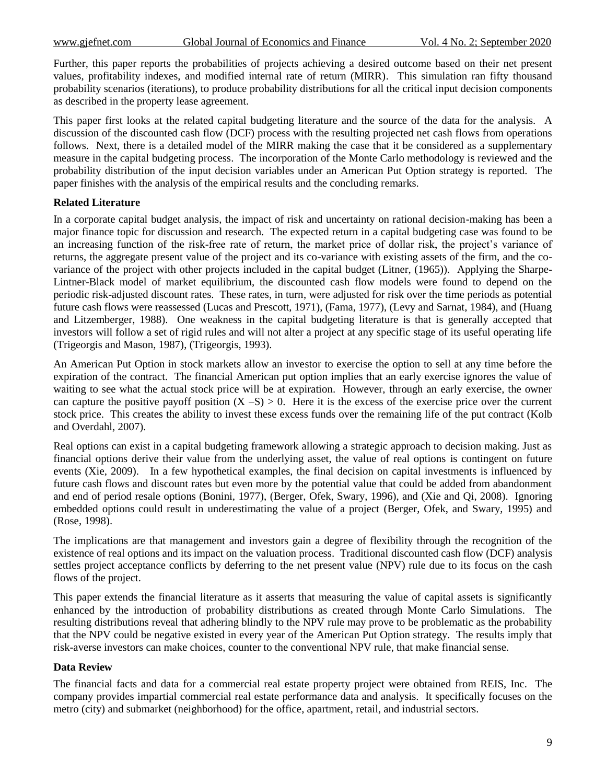Further, this paper reports the probabilities of projects achieving a desired outcome based on their net present values, profitability indexes, and modified internal rate of return (MIRR). This simulation ran fifty thousand probability scenarios (iterations), to produce probability distributions for all the critical input decision components as described in the property lease agreement.

This paper first looks at the related capital budgeting literature and the source of the data for the analysis. A discussion of the discounted cash flow (DCF) process with the resulting projected net cash flows from operations follows. Next, there is a detailed model of the MIRR making the case that it be considered as a supplementary measure in the capital budgeting process. The incorporation of the Monte Carlo methodology is reviewed and the probability distribution of the input decision variables under an American Put Option strategy is reported. The paper finishes with the analysis of the empirical results and the concluding remarks.

## **Related Literature**

In a corporate capital budget analysis, the impact of risk and uncertainty on rational decision-making has been a major finance topic for discussion and research. The expected return in a capital budgeting case was found to be an increasing function of the risk-free rate of return, the market price of dollar risk, the project's variance of returns, the aggregate present value of the project and its co-variance with existing assets of the firm, and the covariance of the project with other projects included in the capital budget (Litner, (1965)). Applying the Sharpe-Lintner-Black model of market equilibrium, the discounted cash flow models were found to depend on the periodic risk-adjusted discount rates. These rates, in turn, were adjusted for risk over the time periods as potential future cash flows were reassessed (Lucas and Prescott, 1971), (Fama, 1977), (Levy and Sarnat, 1984), and (Huang and Litzemberger, 1988). One weakness in the capital budgeting literature is that is generally accepted that investors will follow a set of rigid rules and will not alter a project at any specific stage of its useful operating life (Trigeorgis and Mason, 1987), (Trigeorgis, 1993).

An American Put Option in stock markets allow an investor to exercise the option to sell at any time before the expiration of the contract. The financial American put option implies that an early exercise ignores the value of waiting to see what the actual stock price will be at expiration. However, through an early exercise, the owner can capture the positive payoff position  $(X - S) > 0$ . Here it is the excess of the exercise price over the current stock price. This creates the ability to invest these excess funds over the remaining life of the put contract (Kolb and Overdahl, 2007).

Real options can exist in a capital budgeting framework allowing a strategic approach to decision making. Just as financial options derive their value from the underlying asset, the value of real options is contingent on future events (Xie, 2009). In a few hypothetical examples, the final decision on capital investments is influenced by future cash flows and discount rates but even more by the potential value that could be added from abandonment and end of period resale options (Bonini, 1977), (Berger, Ofek, Swary, 1996), and (Xie and Qi, 2008). Ignoring embedded options could result in underestimating the value of a project (Berger, Ofek, and Swary, 1995) and (Rose, 1998).

The implications are that management and investors gain a degree of flexibility through the recognition of the existence of real options and its impact on the valuation process. Traditional discounted cash flow (DCF) analysis settles project acceptance conflicts by deferring to the net present value (NPV) rule due to its focus on the cash flows of the project.

This paper extends the financial literature as it asserts that measuring the value of capital assets is significantly enhanced by the introduction of probability distributions as created through Monte Carlo Simulations. The resulting distributions reveal that adhering blindly to the NPV rule may prove to be problematic as the probability that the NPV could be negative existed in every year of the American Put Option strategy. The results imply that risk-averse investors can make choices, counter to the conventional NPV rule, that make financial sense.

## **Data Review**

The financial facts and data for a commercial real estate property project were obtained from REIS, Inc. The company provides impartial commercial real estate performance data and analysis. It specifically focuses on the metro (city) and submarket (neighborhood) for the office, apartment, retail, and industrial sectors.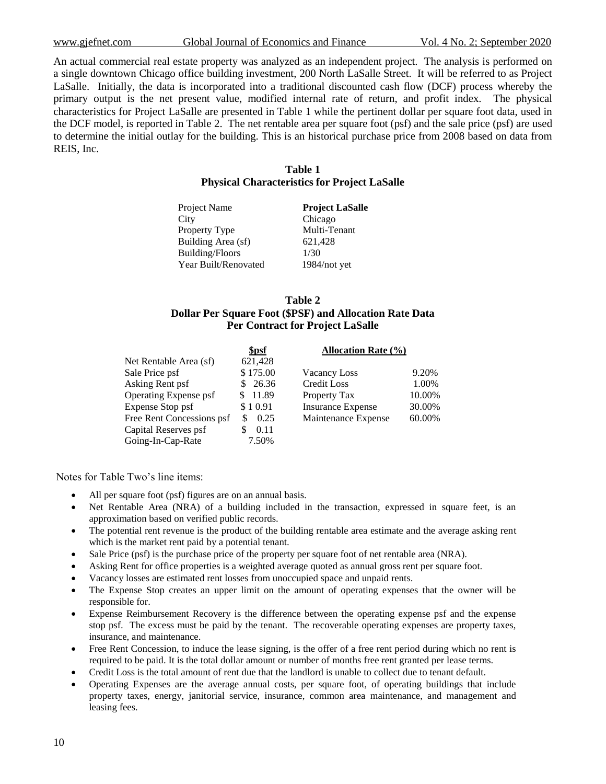www.gjefnet.com Global Journal of Economics and Finance Vol. 4 No. 2; September 2020

An actual commercial real estate property was analyzed as an independent project. The analysis is performed on a single downtown Chicago office building investment, 200 North LaSalle Street. It will be referred to as Project LaSalle. Initially, the data is incorporated into a traditional discounted cash flow (DCF) process whereby the primary output is the net present value, modified internal rate of return, and profit index. The physical characteristics for Project LaSalle are presented in Table 1 while the pertinent dollar per square foot data, used in the DCF model, is reported in Table 2. The net rentable area per square foot (psf) and the sale price (psf) are used to determine the initial outlay for the building. This is an historical purchase price from 2008 based on data from REIS, Inc.

## **Table 1 Physical Characteristics for Project LaSalle**

| Project Name           | <b>Project LaSalle</b> |
|------------------------|------------------------|
| City                   | Chicago                |
| Property Type          | Multi-Tenant           |
| Building Area (sf)     | 621,428                |
| <b>Building/Floors</b> | 1/30                   |
| Year Built/Renovated   | $1984/not$ yet         |

## **Table 2 Dollar Per Square Foot (\$PSF) and Allocation Rate Data Per Contract for Project LaSalle**

| <b>Spsf</b> |                          |                            |
|-------------|--------------------------|----------------------------|
| 621,428     |                          |                            |
| \$175.00    | Vacancy Loss             | 9.20%                      |
| \$26.36     | Credit Loss              | 1.00%                      |
| 11.89       | Property Tax             | 10.00%                     |
| \$10.91     | <b>Insurance Expense</b> | 30.00%                     |
| 0.25        | Maintenance Expense      | 60.00%                     |
| 0.11<br>S   |                          |                            |
| 7.50%       |                          |                            |
|             |                          | <b>Allocation Rate (%)</b> |

Notes for Table Two's line items:

- All per square foot (psf) figures are on an annual basis.
- Net Rentable Area (NRA) of a building included in the transaction, expressed in square feet, is an approximation based on verified public records.
- The potential rent revenue is the product of the building rentable area estimate and the average asking rent which is the market rent paid by a potential tenant.
- Sale Price (psf) is the purchase price of the property per square foot of net rentable area (NRA).
- Asking Rent for office properties is a weighted average quoted as annual gross rent per square foot.
- Vacancy losses are estimated rent losses from unoccupied space and unpaid rents.
- The Expense Stop creates an upper limit on the amount of operating expenses that the owner will be responsible for.
- Expense Reimbursement Recovery is the difference between the operating expense psf and the expense stop psf. The excess must be paid by the tenant. The recoverable operating expenses are property taxes, insurance, and maintenance.
- Free Rent Concession, to induce the lease signing, is the offer of a free rent period during which no rent is required to be paid. It is the total dollar amount or number of months free rent granted per lease terms.
- Credit Loss is the total amount of rent due that the landlord is unable to collect due to tenant default.
- Operating Expenses are the average annual costs, per square foot, of operating buildings that include property taxes, energy, janitorial service, insurance, common area maintenance, and management and leasing fees.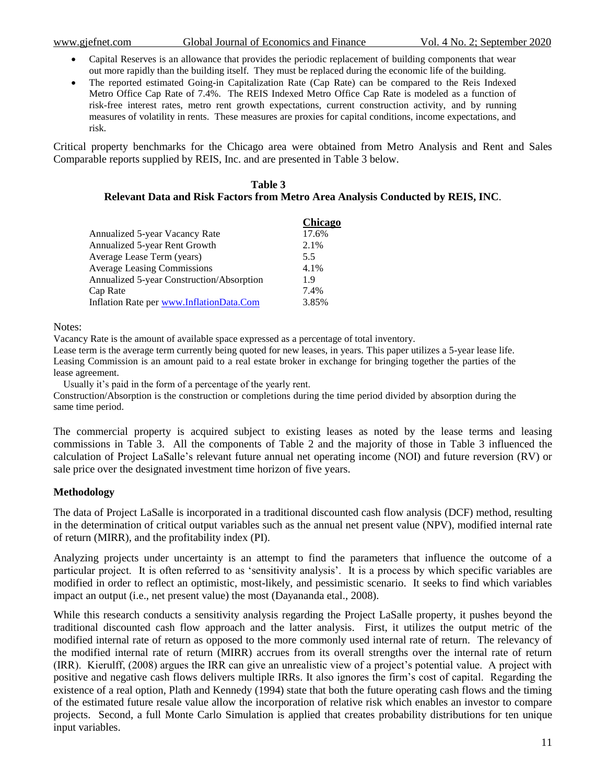www.gjefnet.com Global Journal of Economics and Finance Vol. 4 No. 2; September 2020

- Capital Reserves is an allowance that provides the periodic replacement of building components that wear out more rapidly than the building itself. They must be replaced during the economic life of the building.
- The reported estimated Going-in Capitalization Rate (Cap Rate) can be compared to the Reis Indexed Metro Office Cap Rate of 7.4%. The REIS Indexed Metro Office Cap Rate is modeled as a function of risk-free interest rates, metro rent growth expectations, current construction activity, and by running measures of volatility in rents. These measures are proxies for capital conditions, income expectations, and risk.

Critical property benchmarks for the Chicago area were obtained from Metro Analysis and Rent and Sales Comparable reports supplied by REIS, Inc. and are presented in Table 3 below.

## **Table 3 Relevant Data and Risk Factors from Metro Area Analysis Conducted by REIS, INC**.

|                                                  | Chicago |
|--------------------------------------------------|---------|
| Annualized 5-year Vacancy Rate                   | 17.6%   |
| <b>Annualized 5-year Rent Growth</b>             | 2.1%    |
| Average Lease Term (years)                       | 5.5     |
| <b>Average Leasing Commissions</b>               | 4.1%    |
| <b>Annualized 5-year Construction/Absorption</b> | 1.9     |
| Cap Rate                                         | 7.4%    |
| Inflation Rate per www.InflationData.Com         | 3.85%   |

Notes:

Vacancy Rate is the amount of available space expressed as a percentage of total inventory.

Lease term is the average term currently being quoted for new leases, in years. This paper utilizes a 5-year lease life. Leasing Commission is an amount paid to a real estate broker in exchange for bringing together the parties of the lease agreement.

Usually it's paid in the form of a percentage of the yearly rent.

Construction/Absorption is the construction or completions during the time period divided by absorption during the same time period.

The commercial property is acquired subject to existing leases as noted by the lease terms and leasing commissions in Table 3. All the components of Table 2 and the majority of those in Table 3 influenced the calculation of Project LaSalle's relevant future annual net operating income (NOI) and future reversion (RV) or sale price over the designated investment time horizon of five years.

## **Methodology**

The data of Project LaSalle is incorporated in a traditional discounted cash flow analysis (DCF) method, resulting in the determination of critical output variables such as the annual net present value (NPV), modified internal rate of return (MIRR), and the profitability index (PI).

Analyzing projects under uncertainty is an attempt to find the parameters that influence the outcome of a particular project. It is often referred to as 'sensitivity analysis'. It is a process by which specific variables are modified in order to reflect an optimistic, most-likely, and pessimistic scenario. It seeks to find which variables impact an output (i.e., net present value) the most (Dayananda etal., 2008).

While this research conducts a sensitivity analysis regarding the Project LaSalle property, it pushes beyond the traditional discounted cash flow approach and the latter analysis. First, it utilizes the output metric of the modified internal rate of return as opposed to the more commonly used internal rate of return. The relevancy of the modified internal rate of return (MIRR) accrues from its overall strengths over the internal rate of return (IRR). Kierulff, (2008) argues the IRR can give an unrealistic view of a project's potential value. A project with positive and negative cash flows delivers multiple IRRs. It also ignores the firm's cost of capital. Regarding the existence of a real option, Plath and Kennedy (1994) state that both the future operating cash flows and the timing of the estimated future resale value allow the incorporation of relative risk which enables an investor to compare projects. Second, a full Monte Carlo Simulation is applied that creates probability distributions for ten unique input variables.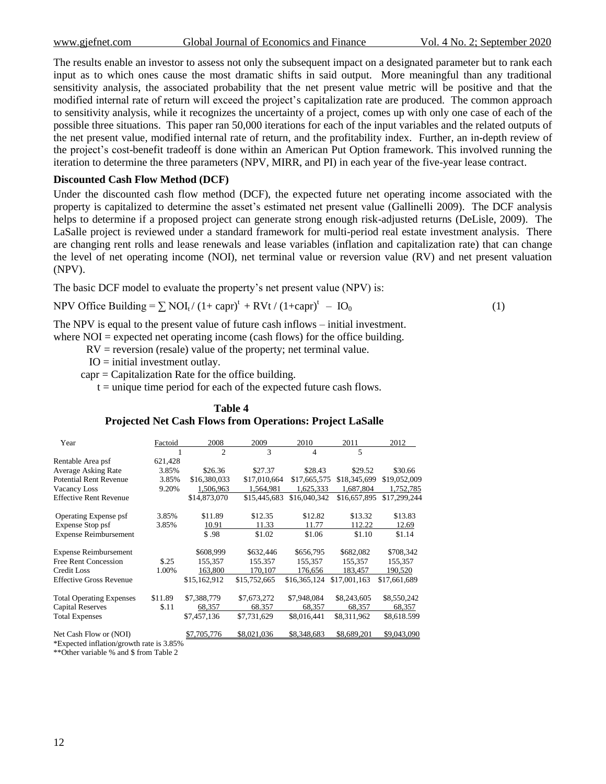The results enable an investor to assess not only the subsequent impact on a designated parameter but to rank each input as to which ones cause the most dramatic shifts in said output. More meaningful than any traditional sensitivity analysis, the associated probability that the net present value metric will be positive and that the modified internal rate of return will exceed the project's capitalization rate are produced. The common approach to sensitivity analysis, while it recognizes the uncertainty of a project, comes up with only one case of each of the possible three situations. This paper ran 50,000 iterations for each of the input variables and the related outputs of the net present value, modified internal rate of return, and the profitability index. Further, an in-depth review of the project's cost-benefit tradeoff is done within an American Put Option framework. This involved running the iteration to determine the three parameters (NPV, MIRR, and PI) in each year of the five-year lease contract.

## **Discounted Cash Flow Method (DCF)**

Under the discounted cash flow method (DCF), the expected future net operating income associated with the property is capitalized to determine the asset's estimated net present value (Gallinelli 2009). The DCF analysis helps to determine if a proposed project can generate strong enough risk-adjusted returns (DeLisle, 2009). The LaSalle project is reviewed under a standard framework for multi-period real estate investment analysis. There are changing rent rolls and lease renewals and lease variables (inflation and capitalization rate) that can change the level of net operating income (NOI), net terminal value or reversion value (RV) and net present valuation (NPV).

The basic DCF model to evaluate the property's net present value (NPV) is:

NPV Office Building = 
$$
\sum
$$
 NOI<sub>t</sub>/(1+ capr)<sup>t</sup> + RVt/(1+capr)<sup>t</sup> - IO<sub>0</sub> (1)

The NPV is equal to the present value of future cash inflows – initial investment. where  $NOI = expected$  net operating income (cash flows) for the office building.

 $RV =$  reversion (resale) value of the property; net terminal value.

 $IO = initial investment outlay.$ 

capr = Capitalization Rate for the office building.

 $t =$  unique time period for each of the expected future cash flows.

## **Table 4 Projected Net Cash Flows from Operations: Project LaSalle**

| Year                                     | Factoid | 2008           | 2009         | 2010         | 2011         | 2012         |
|------------------------------------------|---------|----------------|--------------|--------------|--------------|--------------|
|                                          |         | $\overline{c}$ | 3            | 4            | 5            |              |
| Rentable Area psf                        | 621,428 |                |              |              |              |              |
| <b>Average Asking Rate</b>               | 3.85%   | \$26.36        | \$27.37      | \$28.43      | \$29.52      | \$30.66      |
| <b>Potential Rent Revenue</b>            | 3.85%   | \$16,380,033   | \$17,010,664 | \$17,665,575 | \$18,345,699 | \$19,052,009 |
| Vacancy Loss                             | 9.20%   | 1,506,963      | 1,564,981    | 1,625,333    | 1,687,804    | 1,752,785    |
| <b>Effective Rent Revenue</b>            |         | \$14,873,070   | \$15,445,683 | \$16,040,342 | \$16,657,895 | \$17,299,244 |
| <b>Operating Expense psf</b>             | 3.85%   | \$11.89        | \$12.35      | \$12.82      | \$13.32      | \$13.83      |
| Expense Stop psf                         | 3.85%   | 10.91          | 11.33        | 11.77        | 112.22       | 12.69        |
| <b>Expense Reimbursement</b>             |         | \$.98          | \$1.02       | \$1.06       | \$1.10       | \$1.14       |
| <b>Expense Reimbursement</b>             |         | \$608,999      | \$632,446    | \$656,795    | \$682,082    | \$708,342    |
| <b>Free Rent Concession</b>              | \$.25   | 155.357        | 155.357      | 155.357      | 155,357      | 155,357      |
| Credit Loss                              | 1.00%   | 163,800        | 170,107      | 176,656      | 183,457      | 190,520      |
| <b>Effective Gross Revenue</b>           |         | \$15,162,912   | \$15,752,665 | \$16,365,124 | \$17,001,163 | \$17,661,689 |
| <b>Total Operating Expenses</b>          | \$11.89 | \$7,388,779    | \$7,673,272  | \$7,948,084  | \$8,243,605  | \$8,550,242  |
| <b>Capital Reserves</b>                  | \$.11   | 68,357         | 68.357       | 68,357       | 68,357       | 68,357       |
| <b>Total Expenses</b>                    |         | \$7,457,136    | \$7,731,629  | \$8,016,441  | \$8,311,962  | \$8,618.599  |
| Net Cash Flow or (NOI)                   |         | \$7,705,776    | \$8,021,036  | \$8,348,683  | \$8,689,201  | \$9,043,090  |
| *Expected inflation/growth rate is 3.85% |         |                |              |              |              |              |

\*\*Other variable % and \$ from Table 2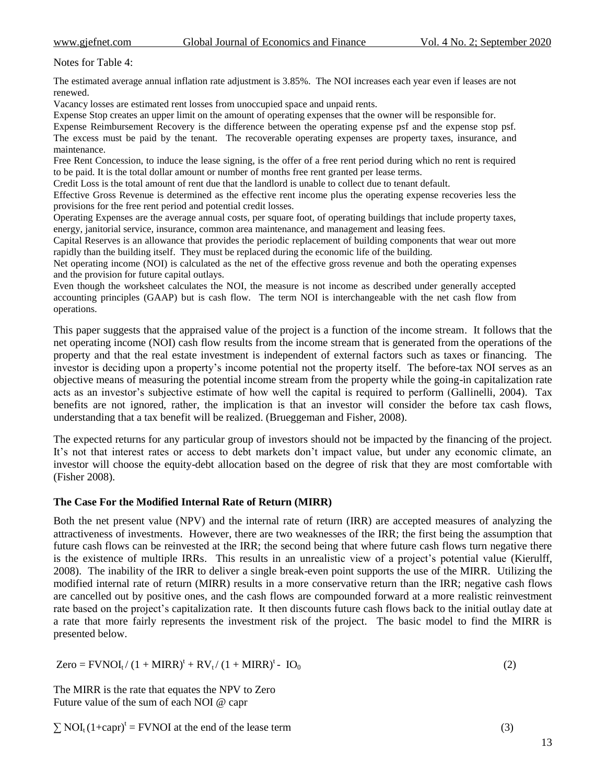Notes for Table 4:

The estimated average annual inflation rate adjustment is 3.85%. The NOI increases each year even if leases are not renewed.

Vacancy losses are estimated rent losses from unoccupied space and unpaid rents.

Expense Stop creates an upper limit on the amount of operating expenses that the owner will be responsible for.

Expense Reimbursement Recovery is the difference between the operating expense psf and the expense stop psf. The excess must be paid by the tenant. The recoverable operating expenses are property taxes, insurance, and maintenance.

Free Rent Concession, to induce the lease signing, is the offer of a free rent period during which no rent is required to be paid. It is the total dollar amount or number of months free rent granted per lease terms.

Credit Loss is the total amount of rent due that the landlord is unable to collect due to tenant default.

Effective Gross Revenue is determined as the effective rent income plus the operating expense recoveries less the provisions for the free rent period and potential credit losses.

Operating Expenses are the average annual costs, per square foot, of operating buildings that include property taxes, energy, janitorial service, insurance, common area maintenance, and management and leasing fees.

Capital Reserves is an allowance that provides the periodic replacement of building components that wear out more rapidly than the building itself. They must be replaced during the economic life of the building.

Net operating income (NOI) is calculated as the net of the effective gross revenue and both the operating expenses and the provision for future capital outlays.

Even though the worksheet calculates the NOI, the measure is not income as described under generally accepted accounting principles (GAAP) but is cash flow. The term NOI is interchangeable with the net cash flow from operations.

This paper suggests that the appraised value of the project is a function of the income stream. It follows that the net operating income (NOI) cash flow results from the income stream that is generated from the operations of the property and that the real estate investment is independent of external factors such as taxes or financing. The investor is deciding upon a property's income potential not the property itself. The before-tax NOI serves as an objective means of measuring the potential income stream from the property while the going-in capitalization rate acts as an investor's subjective estimate of how well the capital is required to perform (Gallinelli, 2004). Tax benefits are not ignored, rather, the implication is that an investor will consider the before tax cash flows, understanding that a tax benefit will be realized. (Brueggeman and Fisher, 2008).

The expected returns for any particular group of investors should not be impacted by the financing of the project. It's not that interest rates or access to debt markets don't impact value, but under any economic climate, an investor will choose the equity-debt allocation based on the degree of risk that they are most comfortable with (Fisher 2008).

### **The Case For the Modified Internal Rate of Return (MIRR)**

Both the net present value (NPV) and the internal rate of return (IRR) are accepted measures of analyzing the attractiveness of investments. However, there are two weaknesses of the IRR; the first being the assumption that future cash flows can be reinvested at the IRR; the second being that where future cash flows turn negative there is the existence of multiple IRRs. This results in an unrealistic view of a project's potential value (Kierulff, 2008). The inability of the IRR to deliver a single break-even point supports the use of the MIRR. Utilizing the modified internal rate of return (MIRR) results in a more conservative return than the IRR; negative cash flows are cancelled out by positive ones, and the cash flows are compounded forward at a more realistic reinvestment rate based on the project's capitalization rate. It then discounts future cash flows back to the initial outlay date at a rate that more fairly represents the investment risk of the project. The basic model to find the MIRR is presented below.

$$
Zero = FVNOIt / (1 + MIRR)t + RVt / (1 + MIRR)t - IO0
$$
 (2)

The MIRR is the rate that equates the NPV to Zero Future value of the sum of each NOI @ capr

 $\sum NOI_t(1+capr)^t = FVNOI$  at the end of the lease term (3)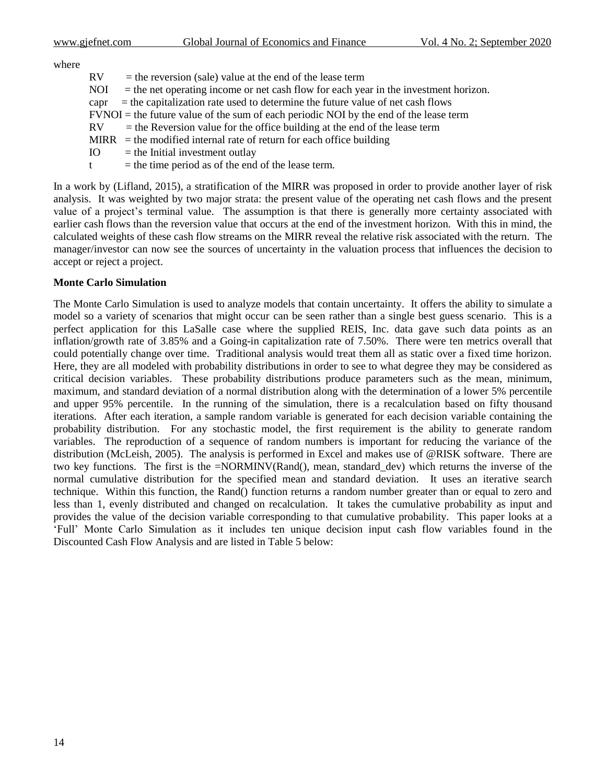## where

- $RV =$  the reversion (sale) value at the end of the lease term
- NOI = the net operating income or net cash flow for each year in the investment horizon.
- $c$  = the capitalization rate used to determine the future value of net cash flows
- $FVNOI =$  the future value of the sum of each periodic NOI by the end of the lease term
- $RV =$  the Reversion value for the office building at the end of the lease term
- $MIRR =$  the modified internal rate of return for each office building
- $IO$  = the Initial investment outlay
- $t =$  the time period as of the end of the lease term.

In a work by (Lifland, 2015), a stratification of the MIRR was proposed in order to provide another layer of risk analysis. It was weighted by two major strata: the present value of the operating net cash flows and the present value of a project's terminal value. The assumption is that there is generally more certainty associated with earlier cash flows than the reversion value that occurs at the end of the investment horizon. With this in mind, the calculated weights of these cash flow streams on the MIRR reveal the relative risk associated with the return. The manager/investor can now see the sources of uncertainty in the valuation process that influences the decision to accept or reject a project.

## **Monte Carlo Simulation**

The Monte Carlo Simulation is used to analyze models that contain uncertainty. It offers the ability to simulate a model so a variety of scenarios that might occur can be seen rather than a single best guess scenario. This is a perfect application for this LaSalle case where the supplied REIS, Inc. data gave such data points as an inflation/growth rate of 3.85% and a Going-in capitalization rate of 7.50%. There were ten metrics overall that could potentially change over time. Traditional analysis would treat them all as static over a fixed time horizon. Here, they are all modeled with probability distributions in order to see to what degree they may be considered as critical decision variables. These probability distributions produce parameters such as the mean, minimum, maximum, and standard deviation of a normal distribution along with the determination of a lower 5% percentile and upper 95% percentile. In the running of the simulation, there is a recalculation based on fifty thousand iterations. After each iteration, a sample random variable is generated for each decision variable containing the probability distribution. For any stochastic model, the first requirement is the ability to generate random variables. The reproduction of a sequence of random numbers is important for reducing the variance of the distribution (McLeish, 2005). The analysis is performed in Excel and makes use of @RISK software. There are two key functions. The first is the =NORMINV(Rand(), mean, standard\_dev) which returns the inverse of the normal cumulative distribution for the specified mean and standard deviation. It uses an iterative search technique. Within this function, the Rand() function returns a random number greater than or equal to zero and less than 1, evenly distributed and changed on recalculation. It takes the cumulative probability as input and provides the value of the decision variable corresponding to that cumulative probability. This paper looks at a 'Full' Monte Carlo Simulation as it includes ten unique decision input cash flow variables found in the Discounted Cash Flow Analysis and are listed in Table 5 below: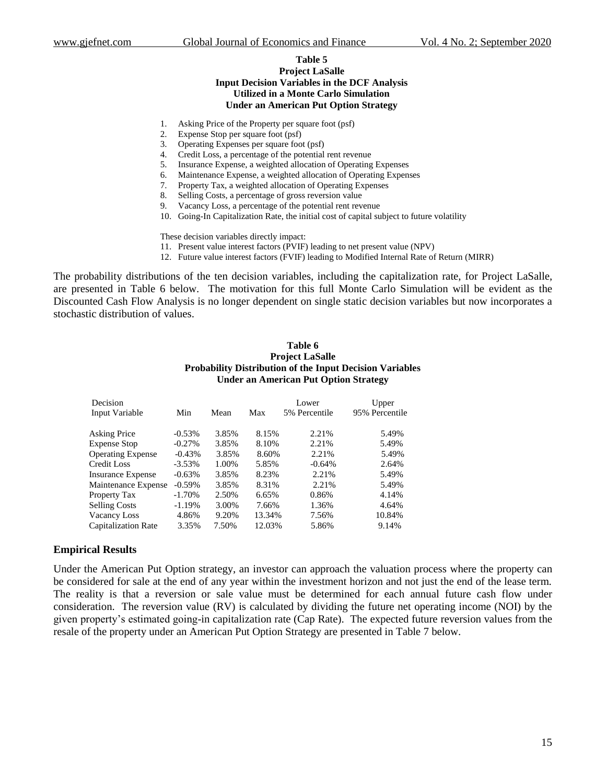#### **Table 5 Project LaSalle Input Decision Variables in the DCF Analysis Utilized in a Monte Carlo Simulation Under an American Put Option Strategy**

- 1. Asking Price of the Property per square foot (psf)
- 2. Expense Stop per square foot (psf)
- 3. Operating Expenses per square foot (psf)
- 4. Credit Loss, a percentage of the potential rent revenue
- 5. Insurance Expense, a weighted allocation of Operating Expenses
- 6. Maintenance Expense, a weighted allocation of Operating Expenses
- 7. Property Tax, a weighted allocation of Operating Expenses
- 8. Selling Costs, a percentage of gross reversion value
- 9. Vacancy Loss, a percentage of the potential rent revenue
- 10. Going-In Capitalization Rate, the initial cost of capital subject to future volatility

These decision variables directly impact:

- 11. Present value interest factors (PVIF) leading to net present value (NPV)
- 12. Future value interest factors (FVIF) leading to Modified Internal Rate of Return (MIRR)

The probability distributions of the ten decision variables, including the capitalization rate, for Project LaSalle, are presented in Table 6 below. The motivation for this full Monte Carlo Simulation will be evident as the Discounted Cash Flow Analysis is no longer dependent on single static decision variables but now incorporates a stochastic distribution of values.

#### **Table 6 Project LaSalle Probability Distribution of the Input Decision Variables Under an American Put Option Strategy**

| Decision                   |           |       |        | Lower         | Upper          |
|----------------------------|-----------|-------|--------|---------------|----------------|
| Input Variable             | Min       | Mean  | Max    | 5% Percentile | 95% Percentile |
| <b>Asking Price</b>        | $-0.53%$  | 3.85% | 8.15%  | 2.21%         | 5.49%          |
| <b>Expense Stop</b>        | $-0.27%$  | 3.85% | 8.10%  | 2.21%         | 5.49%          |
| <b>Operating Expense</b>   | $-0.43%$  | 3.85% | 8.60%  | 2.21%         | 5.49%          |
| Credit Loss                | $-3.53\%$ | 1.00% | 5.85%  | $-0.64%$      | 2.64%          |
| <b>Insurance Expense</b>   | $-0.63\%$ | 3.85% | 8.23%  | 2.21%         | 5.49%          |
| Maintenance Expense        | $-0.59%$  | 3.85% | 8.31%  | 2.21%         | 5.49%          |
| <b>Property Tax</b>        | $-1.70%$  | 2.50% | 6.65%  | 0.86%         | 4.14%          |
| <b>Selling Costs</b>       | $-1.19%$  | 3.00% | 7.66%  | 1.36%         | 4.64%          |
| <b>Vacancy Loss</b>        | 4.86%     | 9.20% | 13.34% | 7.56%         | 10.84%         |
| <b>Capitalization Rate</b> | 3.35%     | 7.50% | 12.03% | 5.86%         | 9.14%          |

### **Empirical Results**

Under the American Put Option strategy, an investor can approach the valuation process where the property can be considered for sale at the end of any year within the investment horizon and not just the end of the lease term. The reality is that a reversion or sale value must be determined for each annual future cash flow under consideration. The reversion value (RV) is calculated by dividing the future net operating income (NOI) by the given property's estimated going-in capitalization rate (Cap Rate). The expected future reversion values from the resale of the property under an American Put Option Strategy are presented in Table 7 below.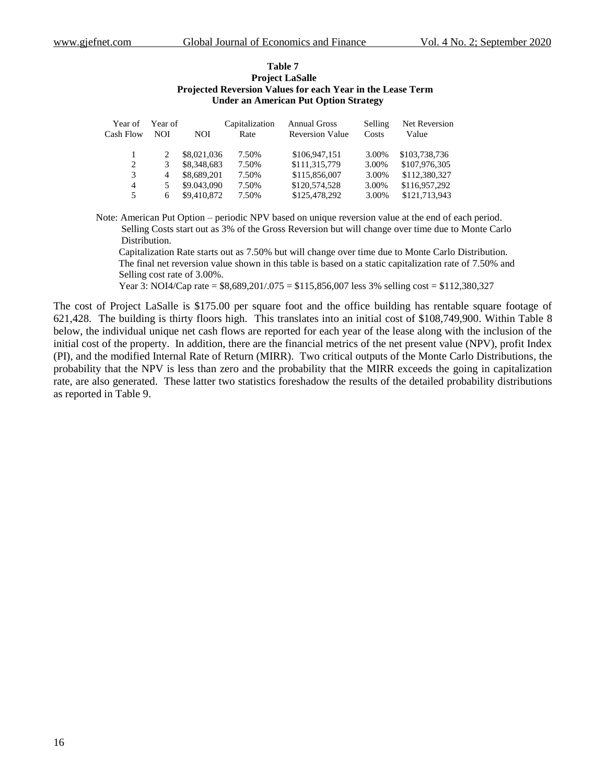| Table 7                                                           |
|-------------------------------------------------------------------|
| <b>Project LaSalle</b>                                            |
| <b>Projected Reversion Values for each Year in the Lease Term</b> |
| <b>Under an American Put Option Strategy</b>                      |

| Cash Flow | Year of<br>Year of<br><b>NOI</b> | NOI.        | Capitalization<br>Rate | <b>Annual Gross</b><br><b>Reversion Value</b> | Selling<br>Costs | Net Reversion<br>Value |
|-----------|----------------------------------|-------------|------------------------|-----------------------------------------------|------------------|------------------------|
|           |                                  | \$8,021,036 | 7.50%                  | \$106,947,151                                 | 3.00%            | \$103,738,736          |
|           | 2                                | \$8,348,683 | 7.50%                  | \$111,315,779                                 | 3.00%            | \$107,976,305          |
|           | 3<br>4                           | \$8,689,201 | 7.50%                  | \$115,856,007                                 | 3.00%            | \$112,380,327          |
|           | 4                                | \$9.043,090 | 7.50%                  | \$120,574,528                                 | 3.00%            | \$116,957,292          |
|           | 5<br>6                           | \$9,410,872 | 7.50%                  | \$125,478,292                                 | 3.00%            | \$121,713,943          |

Note: American Put Option – periodic NPV based on unique reversion value at the end of each period. Selling Costs start out as 3% of the Gross Reversion but will change over time due to Monte Carlo Distribution.

 Capitalization Rate starts out as 7.50% but will change over time due to Monte Carlo Distribution. The final net reversion value shown in this table is based on a static capitalization rate of 7.50% and Selling cost rate of 3.00%.

Year 3: NOI4/Cap rate = \$8,689,201/.075 = \$115,856,007 less 3% selling cost = \$112,380,327

The cost of Project LaSalle is \$175.00 per square foot and the office building has rentable square footage of 621,428. The building is thirty floors high. This translates into an initial cost of \$108,749,900. Within Table 8 below, the individual unique net cash flows are reported for each year of the lease along with the inclusion of the initial cost of the property. In addition, there are the financial metrics of the net present value (NPV), profit Index (PI), and the modified Internal Rate of Return (MIRR). Two critical outputs of the Monte Carlo Distributions, the probability that the NPV is less than zero and the probability that the MIRR exceeds the going in capitalization rate, are also generated. These latter two statistics foreshadow the results of the detailed probability distributions as reported in Table 9.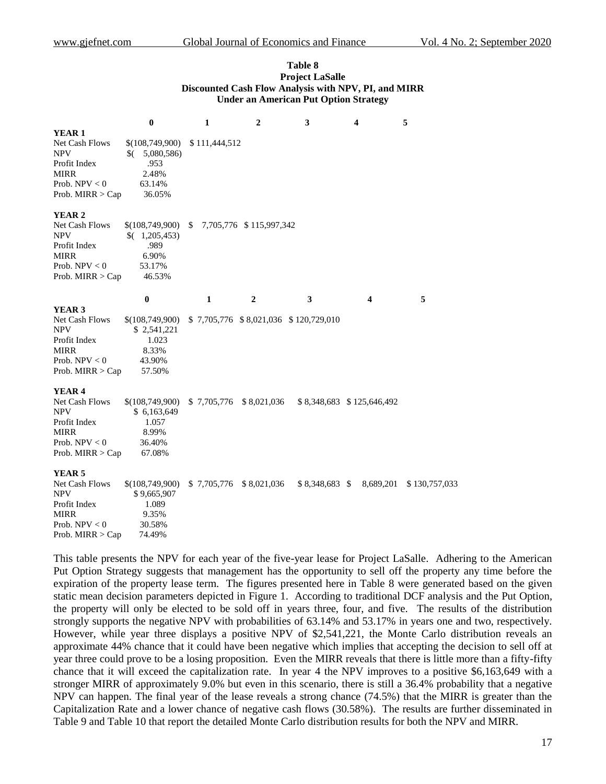#### **Table 8 Project LaSalle Discounted Cash Flow Analysis with NPV, PI, and MIRR Under an American Put Option Strategy**

|                    | $\bf{0}$                                                  | $\mathbf{1}$              | $\overline{2}$          | 3 | 4                         | 5             |
|--------------------|-----------------------------------------------------------|---------------------------|-------------------------|---|---------------------------|---------------|
| YEAR 1             |                                                           |                           |                         |   |                           |               |
| Net Cash Flows     | \$(108,749,900)                                           | \$111,444,512             |                         |   |                           |               |
| <b>NPV</b>         | \$(<br>5,080,586)                                         |                           |                         |   |                           |               |
| Profit Index       | .953                                                      |                           |                         |   |                           |               |
| <b>MIRR</b>        | 2.48%                                                     |                           |                         |   |                           |               |
| Prob. $NPV < 0$    | 63.14%                                                    |                           |                         |   |                           |               |
| Prob. $MIRR > Cap$ | 36.05%                                                    |                           |                         |   |                           |               |
| YEAR <sub>2</sub>  |                                                           |                           |                         |   |                           |               |
| Net Cash Flows     | \$(108,749,900)                                           | \$                        | 7,705,776 \$115,997,342 |   |                           |               |
| <b>NPV</b>         | (1,205,453)                                               |                           |                         |   |                           |               |
| Profit Index       | .989                                                      |                           |                         |   |                           |               |
| <b>MIRR</b>        | 6.90%                                                     |                           |                         |   |                           |               |
| Prob. $NPV < 0$    | 53.17%                                                    |                           |                         |   |                           |               |
| Prob. $MIRR > Cap$ | 46.53%                                                    |                           |                         |   |                           |               |
|                    | $\bf{0}$                                                  | 1                         | $\overline{2}$          | 3 | 4                         | 5             |
| YEAR <sub>3</sub>  |                                                           |                           |                         |   |                           |               |
| Net Cash Flows     | $$(108,749,900)$ \$ 7,705,776 \$ 8,021,036 \$ 120,729,010 |                           |                         |   |                           |               |
| <b>NPV</b>         | \$ 2,541,221                                              |                           |                         |   |                           |               |
| Profit Index       | 1.023                                                     |                           |                         |   |                           |               |
| <b>MIRR</b>        | 8.33%                                                     |                           |                         |   |                           |               |
| Prob. $NPV < 0$    | 43.90%                                                    |                           |                         |   |                           |               |
| Prob. $MIRR > Cap$ | 57.50%                                                    |                           |                         |   |                           |               |
| YEAR <sub>4</sub>  |                                                           |                           |                         |   |                           |               |
| Net Cash Flows     | \$(108,749,900)                                           | \$7,705,776 \$8,021,036   |                         |   | \$8,348,683 \$125,646,492 |               |
| <b>NPV</b>         | \$6,163,649                                               |                           |                         |   |                           |               |
| Profit Index       | 1.057                                                     |                           |                         |   |                           |               |
| <b>MIRR</b>        | 8.99%                                                     |                           |                         |   |                           |               |
| Prob. $NPV < 0$    | 36.40%                                                    |                           |                         |   |                           |               |
| Prob. MIRR $>$ Cap | 67.08%                                                    |                           |                         |   |                           |               |
| YEAR 5             |                                                           |                           |                         |   |                           |               |
| Net Cash Flows     | \$(108,749,900)                                           | $$7,705,776$ $$8,021,036$ |                         |   | $$8,348,683$ $$8,689,201$ | \$130,757,033 |
| <b>NPV</b>         | \$9,665,907                                               |                           |                         |   |                           |               |
| Profit Index       | 1.089                                                     |                           |                         |   |                           |               |
| <b>MIRR</b>        | 9.35%                                                     |                           |                         |   |                           |               |
| Prob. $NPV < 0$    | 30.58%                                                    |                           |                         |   |                           |               |
| Prob. $MIRR > Cap$ | 74.49%                                                    |                           |                         |   |                           |               |

This table presents the NPV for each year of the five-year lease for Project LaSalle. Adhering to the American Put Option Strategy suggests that management has the opportunity to sell off the property any time before the expiration of the property lease term. The figures presented here in Table 8 were generated based on the given static mean decision parameters depicted in Figure 1. According to traditional DCF analysis and the Put Option, the property will only be elected to be sold off in years three, four, and five. The results of the distribution strongly supports the negative NPV with probabilities of 63.14% and 53.17% in years one and two, respectively. However, while year three displays a positive NPV of \$2,541,221, the Monte Carlo distribution reveals an approximate 44% chance that it could have been negative which implies that accepting the decision to sell off at year three could prove to be a losing proposition. Even the MIRR reveals that there is little more than a fifty-fifty chance that it will exceed the capitalization rate. In year 4 the NPV improves to a positive \$6,163,649 with a stronger MIRR of approximately 9.0% but even in this scenario, there is still a 36.4% probability that a negative NPV can happen. The final year of the lease reveals a strong chance (74.5%) that the MIRR is greater than the Capitalization Rate and a lower chance of negative cash flows (30.58%). The results are further disseminated in Table 9 and Table 10 that report the detailed Monte Carlo distribution results for both the NPV and MIRR.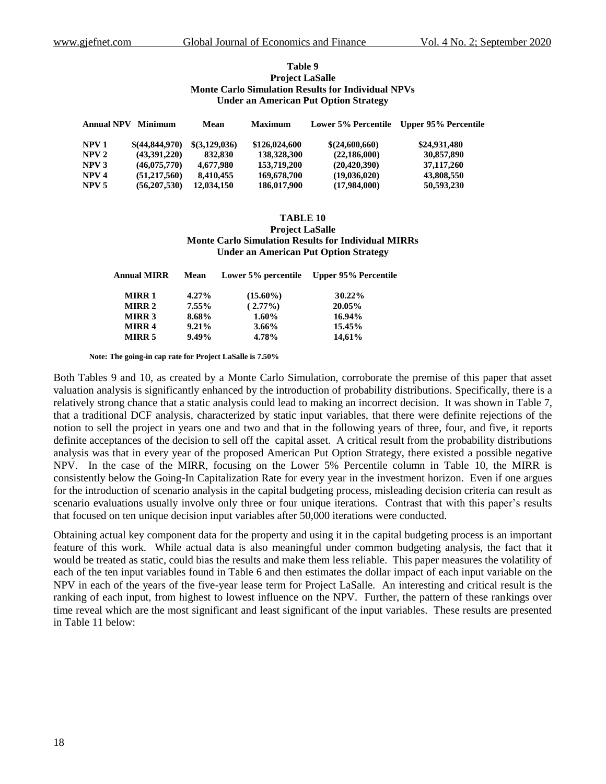#### **Table 9 Project LaSalle Monte Carlo Simulation Results for Individual NPVs Under an American Put Option Strategy**

|                  | <b>Annual NPV Minimum</b> | Mean          | <b>Maximum</b> |                | Lower 5% Percentile Upper 95% Percentile |
|------------------|---------------------------|---------------|----------------|----------------|------------------------------------------|
| NPV 1            | \$(44,844,970)            | \$(3,129,036) | \$126,024,600  | \$(24,600,660) | \$24,931,480                             |
| NPV <sub>2</sub> | (43.391.220)              | 832,830       | 138,328,300    | (22, 186, 000) | 30,857,890                               |
| NPV <sub>3</sub> | (46,075,770)              | 4,677,980     | 153,719,200    | (20, 420, 390) | 37,117,260                               |
| NPV 4            | (51,217,560)              | 8,410,455     | 169,678,700    | (19,036,020)   | 43,808,550                               |
| NPV 5            | (56,207,530)              | 12,034,150    | 186,017,900    | (17,984,000)   | 50,593,230                               |

#### **TABLE 10 Project LaSalle Monte Carlo Simulation Results for Individual MIRRs Under an American Put Option Strategy**

| <b>Annual MIRR</b> | Mean     |             | Lower 5% percentile Upper 95% Percentile |
|--------------------|----------|-------------|------------------------------------------|
| <b>MIRR 1</b>      | $4.27\%$ | $(15.60\%)$ | 30.22%                                   |
| MIRR 2             | $7.55\%$ | $(2.77\%)$  | 20.05%                                   |
| <b>MIRR 3</b>      | 8.68%    | $1.60\%$    | 16.94%                                   |
| <b>MIRR4</b>       | $9.21\%$ | $3.66\%$    | 15.45%                                   |
| <b>MIRR 5</b>      | $9.49\%$ | 4.78%       | 14,61%                                   |

**Note: The going-in cap rate for Project LaSalle is 7.50%**

Both Tables 9 and 10, as created by a Monte Carlo Simulation, corroborate the premise of this paper that asset valuation analysis is significantly enhanced by the introduction of probability distributions. Specifically, there is a relatively strong chance that a static analysis could lead to making an incorrect decision. It was shown in Table 7, that a traditional DCF analysis, characterized by static input variables, that there were definite rejections of the notion to sell the project in years one and two and that in the following years of three, four, and five, it reports definite acceptances of the decision to sell off the capital asset. A critical result from the probability distributions analysis was that in every year of the proposed American Put Option Strategy, there existed a possible negative NPV. In the case of the MIRR, focusing on the Lower 5% Percentile column in Table 10, the MIRR is consistently below the Going-In Capitalization Rate for every year in the investment horizon. Even if one argues for the introduction of scenario analysis in the capital budgeting process, misleading decision criteria can result as scenario evaluations usually involve only three or four unique iterations. Contrast that with this paper's results that focused on ten unique decision input variables after 50,000 iterations were conducted.

Obtaining actual key component data for the property and using it in the capital budgeting process is an important feature of this work. While actual data is also meaningful under common budgeting analysis, the fact that it would be treated as static, could bias the results and make them less reliable. This paper measures the volatility of each of the ten input variables found in Table 6 and then estimates the dollar impact of each input variable on the NPV in each of the years of the five-year lease term for Project LaSalle. An interesting and critical result is the ranking of each input, from highest to lowest influence on the NPV. Further, the pattern of these rankings over time reveal which are the most significant and least significant of the input variables. These results are presented in Table 11 below: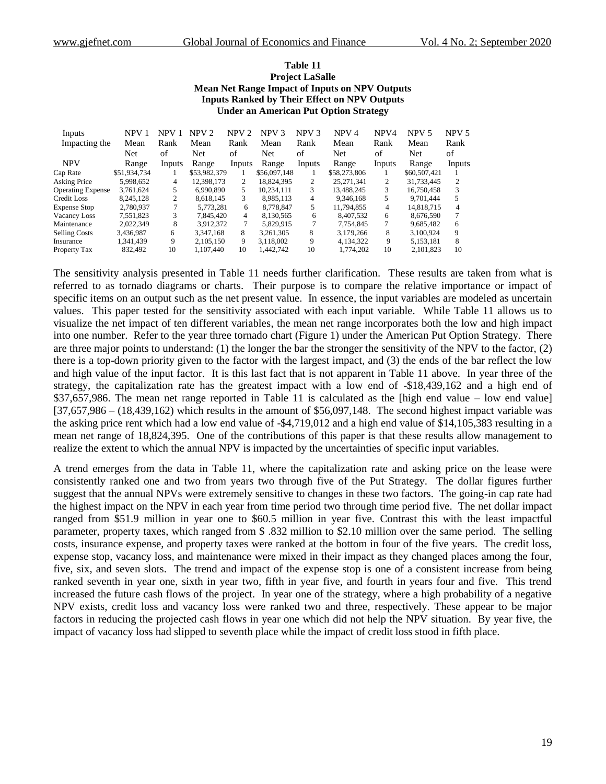#### **Table 11 Project LaSalle Mean Net Range Impact of Inputs on NPV Outputs Inputs Ranked by Their Effect on NPV Outputs Under an American Put Option Strategy**

| Inputs<br>Impacting the  | NPV <sub>1</sub><br>Mean<br><b>Net</b> | NPV <sub>1</sub><br>Rank<br>of | NPV <sub>2</sub><br>Mean<br><b>Net</b> | NPV <sub>2</sub><br>Rank<br>of | NPV <sub>3</sub><br>Mean<br><b>Net</b> | NPV <sub>3</sub><br>Rank<br>of | NPV <sub>4</sub><br>Mean<br>Net | NPV4<br>Rank<br>of | NPV <sub>5</sub><br>Mean<br><b>Net</b> | NPV 5<br>Rank<br>of |
|--------------------------|----------------------------------------|--------------------------------|----------------------------------------|--------------------------------|----------------------------------------|--------------------------------|---------------------------------|--------------------|----------------------------------------|---------------------|
| <b>NPV</b>               | Range                                  | Inputs                         | Range                                  | Inputs                         | Range                                  | Inputs                         | Range                           | Inputs             | Range                                  | Inputs              |
| Cap Rate                 | \$51,934,734                           |                                | \$53,982,379                           |                                | \$56,097,148                           |                                | \$58,273,806                    |                    | \$60,507,421                           |                     |
| <b>Asking Price</b>      | 5.998.652                              | 4                              | 12.398.173                             | 2                              | 18.824.395                             | 2                              | 25.271.341                      | 2                  | 31.733.445                             | $\overline{c}$      |
| <b>Operating Expense</b> | 3.761.624                              |                                | 6.990.890                              | 5.                             | 10.234.111                             | 3                              | 13.488.245                      | 3                  | 16.750.458                             | 3                   |
| <b>Credit Loss</b>       | 8.245.128                              |                                | 8.618.145                              | 3                              | 8.985.113                              | 4                              | 9.346.168                       | 5                  | 9.701.444                              | 5                   |
| <b>Expense Stop</b>      | 2.780.937                              |                                | 5.773.281                              | 6                              | 8.778.847                              | 5                              | 11.794.855                      | 4                  | 14.818.715                             | $\overline{4}$      |
| <b>Vacancy Loss</b>      | 7.551.823                              | 3                              | 7.845.420                              | 4                              | 8.130.565                              | 6                              | 8.407.532                       | 6                  | 8.676.590                              | 7                   |
| Maintenance              | 2.022.349                              | 8                              | 3.912.372                              | 7                              | 5.829.915                              | 7                              | 7.754.845                       | 7                  | 9.685.482                              | 6                   |
| <b>Selling Costs</b>     | 3.436.987                              | 6                              | 3.347.168                              | 8                              | 3.261.305                              | 8                              | 3.179.266                       | 8                  | 3.100.924                              | 9                   |
| Insurance                | 1.341.439                              | 9                              | 2.105.150                              | 9                              | 3.118.002                              | 9                              | 4.134.322                       | 9                  | 5.153.181                              | 8                   |
| Property Tax             | 832.492                                | 10                             | 1.107.440                              | 10                             | 1.442.742                              | 10                             | 1.774.202                       | 10                 | 2.101.823                              | 10                  |

The sensitivity analysis presented in Table 11 needs further clarification. These results are taken from what is referred to as tornado diagrams or charts. Their purpose is to compare the relative importance or impact of specific items on an output such as the net present value. In essence, the input variables are modeled as uncertain values. This paper tested for the sensitivity associated with each input variable. While Table 11 allows us to visualize the net impact of ten different variables, the mean net range incorporates both the low and high impact into one number. Refer to the year three tornado chart (Figure 1) under the American Put Option Strategy. There are three major points to understand: (1) the longer the bar the stronger the sensitivity of the NPV to the factor, (2) there is a top-down priority given to the factor with the largest impact, and (3) the ends of the bar reflect the low and high value of the input factor. It is this last fact that is not apparent in Table 11 above. In year three of the strategy, the capitalization rate has the greatest impact with a low end of -\$18,439,162 and a high end of \$37,657,986. The mean net range reported in Table 11 is calculated as the [high end value – low end value] [37,657,986 – (18,439,162) which results in the amount of \$56,097,148. The second highest impact variable was the asking price rent which had a low end value of -\$4,719,012 and a high end value of \$14,105,383 resulting in a mean net range of 18,824,395. One of the contributions of this paper is that these results allow management to realize the extent to which the annual NPV is impacted by the uncertainties of specific input variables.

A trend emerges from the data in Table 11, where the capitalization rate and asking price on the lease were consistently ranked one and two from years two through five of the Put Strategy. The dollar figures further suggest that the annual NPVs were extremely sensitive to changes in these two factors. The going-in cap rate had the highest impact on the NPV in each year from time period two through time period five. The net dollar impact ranged from \$51.9 million in year one to \$60.5 million in year five. Contrast this with the least impactful parameter, property taxes, which ranged from \$ .832 million to \$2.10 million over the same period. The selling costs, insurance expense, and property taxes were ranked at the bottom in four of the five years. The credit loss, expense stop, vacancy loss, and maintenance were mixed in their impact as they changed places among the four, five, six, and seven slots. The trend and impact of the expense stop is one of a consistent increase from being ranked seventh in year one, sixth in year two, fifth in year five, and fourth in years four and five. This trend increased the future cash flows of the project. In year one of the strategy, where a high probability of a negative NPV exists, credit loss and vacancy loss were ranked two and three, respectively. These appear to be major factors in reducing the projected cash flows in year one which did not help the NPV situation. By year five, the impact of vacancy loss had slipped to seventh place while the impact of credit loss stood in fifth place.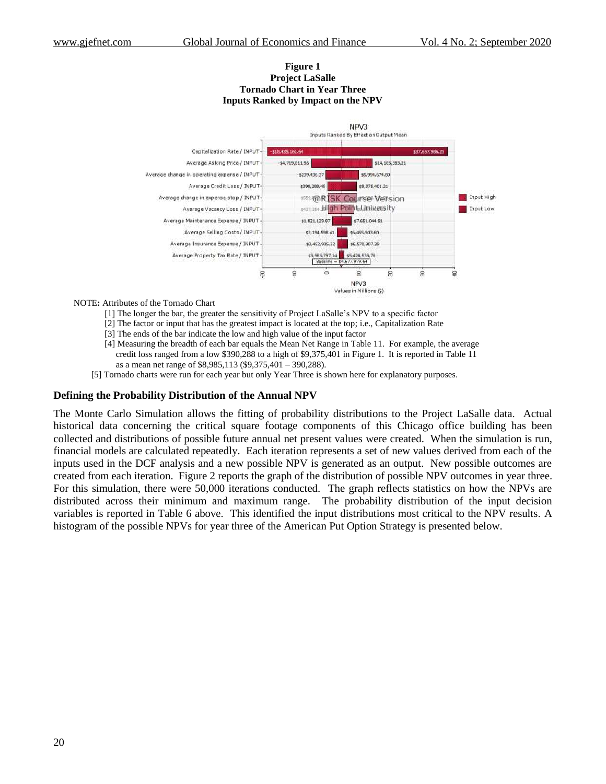#### **Figure 1 Project LaSalle Tornado Chart in Year Three Inputs Ranked by Impact on the NPV**



#### NOTE**:** Attributes of the Tornado Chart

- [1] The longer the bar, the greater the sensitivity of Project LaSalle's NPV to a specific factor
- [2] The factor or input that has the greatest impact is located at the top; i.e., Capitalization Rate
- [3] The ends of the bar indicate the low and high value of the input factor
- [4] Measuring the breadth of each bar equals the Mean Net Range in Table 11. For example, the average credit loss ranged from a low \$390,288 to a high of \$9,375,401 in Figure 1. It is reported in Table 11 as a mean net range of \$8,985,113 (\$9,375,401 – 390,288).
- [5] Tornado charts were run for each year but only Year Three is shown here for explanatory purposes.

#### **Defining the Probability Distribution of the Annual NPV**

The Monte Carlo Simulation allows the fitting of probability distributions to the Project LaSalle data. Actual historical data concerning the critical square footage components of this Chicago office building has been collected and distributions of possible future annual net present values were created. When the simulation is run, financial models are calculated repeatedly. Each iteration represents a set of new values derived from each of the inputs used in the DCF analysis and a new possible NPV is generated as an output. New possible outcomes are created from each iteration. Figure 2 reports the graph of the distribution of possible NPV outcomes in year three. For this simulation, there were 50,000 iterations conducted. The graph reflects statistics on how the NPVs are distributed across their minimum and maximum range. The probability distribution of the input decision variables is reported in Table 6 above. This identified the input distributions most critical to the NPV results. A histogram of the possible NPVs for year three of the American Put Option Strategy is presented below.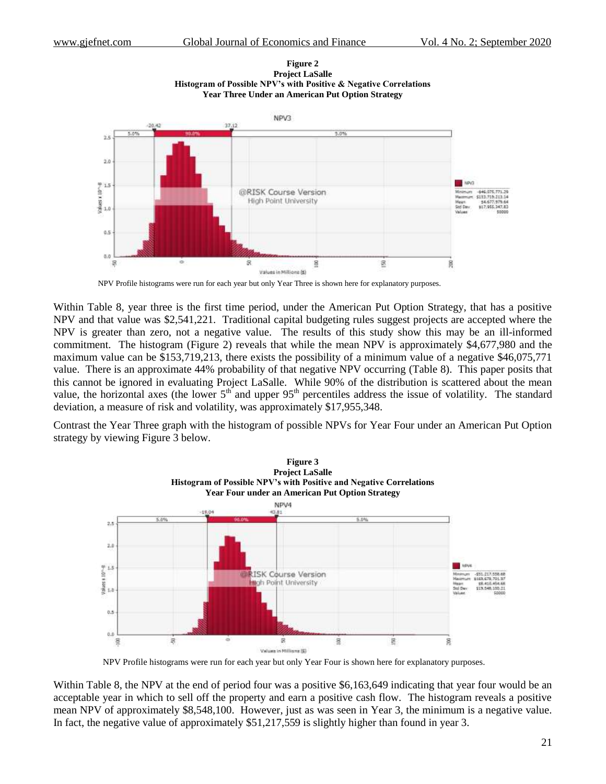

**Figure 2 Project LaSalle**

Values in Millions (\$)

NPV Profile histograms were run for each year but only Year Three is shown here for explanatory purposes.

Within Table 8, year three is the first time period, under the American Put Option Strategy, that has a positive NPV and that value was \$2,541,221. Traditional capital budgeting rules suggest projects are accepted where the NPV is greater than zero, not a negative value. The results of this study show this may be an ill-informed commitment. The histogram (Figure 2) reveals that while the mean NPV is approximately \$4,677,980 and the maximum value can be \$153,719,213, there exists the possibility of a minimum value of a negative \$46,075,771 value. There is an approximate 44% probability of that negative NPV occurring (Table 8). This paper posits that this cannot be ignored in evaluating Project LaSalle. While 90% of the distribution is scattered about the mean value, the horizontal axes (the lower  $5<sup>th</sup>$  and upper  $95<sup>th</sup>$  percentiles address the issue of volatility. The standard deviation, a measure of risk and volatility, was approximately \$17,955,348.

Contrast the Year Three graph with the histogram of possible NPVs for Year Four under an American Put Option strategy by viewing Figure 3 below.



NPV Profile histograms were run for each year but only Year Four is shown here for explanatory purposes.

Within Table 8, the NPV at the end of period four was a positive \$6,163,649 indicating that year four would be an acceptable year in which to sell off the property and earn a positive cash flow. The histogram reveals a positive mean NPV of approximately \$8,548,100. However, just as was seen in Year 3, the minimum is a negative value. In fact, the negative value of approximately \$51,217,559 is slightly higher than found in year 3.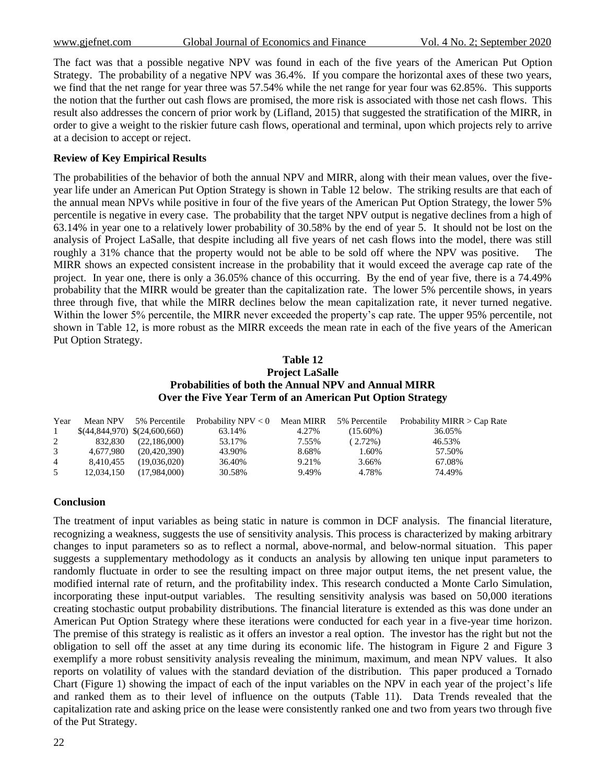The fact was that a possible negative NPV was found in each of the five years of the American Put Option Strategy. The probability of a negative NPV was 36.4%. If you compare the horizontal axes of these two years, we find that the net range for year three was 57.54% while the net range for year four was 62.85%. This supports the notion that the further out cash flows are promised, the more risk is associated with those net cash flows. This result also addresses the concern of prior work by (Lifland, 2015) that suggested the stratification of the MIRR, in order to give a weight to the riskier future cash flows, operational and terminal, upon which projects rely to arrive at a decision to accept or reject.

## **Review of Key Empirical Results**

The probabilities of the behavior of both the annual NPV and MIRR, along with their mean values, over the fiveyear life under an American Put Option Strategy is shown in Table 12 below. The striking results are that each of the annual mean NPVs while positive in four of the five years of the American Put Option Strategy, the lower 5% percentile is negative in every case. The probability that the target NPV output is negative declines from a high of 63.14% in year one to a relatively lower probability of 30.58% by the end of year 5. It should not be lost on the analysis of Project LaSalle, that despite including all five years of net cash flows into the model, there was still roughly a 31% chance that the property would not be able to be sold off where the NPV was positive. The MIRR shows an expected consistent increase in the probability that it would exceed the average cap rate of the project. In year one, there is only a 36.05% chance of this occurring. By the end of year five, there is a 74.49% probability that the MIRR would be greater than the capitalization rate. The lower 5% percentile shows, in years three through five, that while the MIRR declines below the mean capitalization rate, it never turned negative. Within the lower 5% percentile, the MIRR never exceeded the property's cap rate. The upper 95% percentile, not shown in Table 12, is more robust as the MIRR exceeds the mean rate in each of the five years of the American Put Option Strategy.

## **Table 12 Project LaSalle Probabilities of both the Annual NPV and Annual MIRR Over the Five Year Term of an American Put Option Strategy**

| Year           |            |                               | Mean NPV $5\%$ Percentile Probability NPV $< 0$ Mean MIRR |       | 5% Percentile | Probability MIRR $>$ Cap Rate |
|----------------|------------|-------------------------------|-----------------------------------------------------------|-------|---------------|-------------------------------|
|                |            | \$(44,844,970) \$(24,600,660) | 63.14%                                                    | 4.27% | $(15.60\%)$   | 36.05%                        |
| 2              | 832.830    | (22.186,000)                  | 53.17%                                                    | 7.55% | $(2.72\%)$    | 46.53%                        |
| 3              | 4.677.980  | (20.420.390)                  | 43.90%                                                    | 8.68% | 1.60%         | 57.50%                        |
| $\overline{4}$ | 8.410.455  | (19.036.020)                  | 36.40%                                                    | 9.21% | 3.66%         | 67.08%                        |
| 5              | 12,034,150 | (17,984,000)                  | 30.58%                                                    | 9.49% | 4.78%         | 74.49%                        |

## **Conclusion**

The treatment of input variables as being static in nature is common in DCF analysis. The financial literature, recognizing a weakness, suggests the use of sensitivity analysis. This process is characterized by making arbitrary changes to input parameters so as to reflect a normal, above-normal, and below-normal situation. This paper suggests a supplementary methodology as it conducts an analysis by allowing ten unique input parameters to randomly fluctuate in order to see the resulting impact on three major output items, the net present value, the modified internal rate of return, and the profitability index. This research conducted a Monte Carlo Simulation, incorporating these input-output variables. The resulting sensitivity analysis was based on 50,000 iterations creating stochastic output probability distributions. The financial literature is extended as this was done under an American Put Option Strategy where these iterations were conducted for each year in a five-year time horizon. The premise of this strategy is realistic as it offers an investor a real option. The investor has the right but not the obligation to sell off the asset at any time during its economic life. The histogram in Figure 2 and Figure 3 exemplify a more robust sensitivity analysis revealing the minimum, maximum, and mean NPV values. It also reports on volatility of values with the standard deviation of the distribution. This paper produced a Tornado Chart (Figure 1) showing the impact of each of the input variables on the NPV in each year of the project's life and ranked them as to their level of influence on the outputs (Table 11). Data Trends revealed that the capitalization rate and asking price on the lease were consistently ranked one and two from years two through five of the Put Strategy.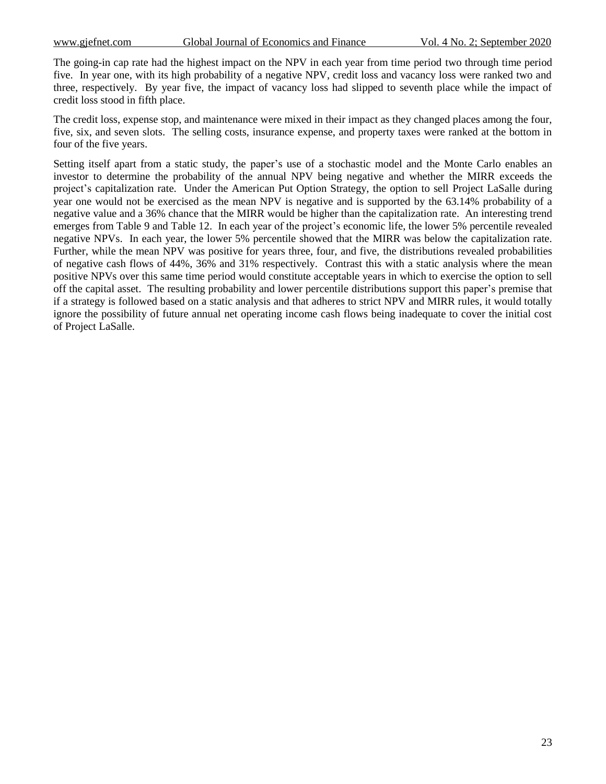The going-in cap rate had the highest impact on the NPV in each year from time period two through time period five. In year one, with its high probability of a negative NPV, credit loss and vacancy loss were ranked two and three, respectively. By year five, the impact of vacancy loss had slipped to seventh place while the impact of credit loss stood in fifth place.

The credit loss, expense stop, and maintenance were mixed in their impact as they changed places among the four, five, six, and seven slots. The selling costs, insurance expense, and property taxes were ranked at the bottom in four of the five years.

Setting itself apart from a static study, the paper's use of a stochastic model and the Monte Carlo enables an investor to determine the probability of the annual NPV being negative and whether the MIRR exceeds the project's capitalization rate. Under the American Put Option Strategy, the option to sell Project LaSalle during year one would not be exercised as the mean NPV is negative and is supported by the 63.14% probability of a negative value and a 36% chance that the MIRR would be higher than the capitalization rate. An interesting trend emerges from Table 9 and Table 12. In each year of the project's economic life, the lower 5% percentile revealed negative NPVs. In each year, the lower 5% percentile showed that the MIRR was below the capitalization rate. Further, while the mean NPV was positive for years three, four, and five, the distributions revealed probabilities of negative cash flows of 44%, 36% and 31% respectively. Contrast this with a static analysis where the mean positive NPVs over this same time period would constitute acceptable years in which to exercise the option to sell off the capital asset. The resulting probability and lower percentile distributions support this paper's premise that if a strategy is followed based on a static analysis and that adheres to strict NPV and MIRR rules, it would totally ignore the possibility of future annual net operating income cash flows being inadequate to cover the initial cost of Project LaSalle.